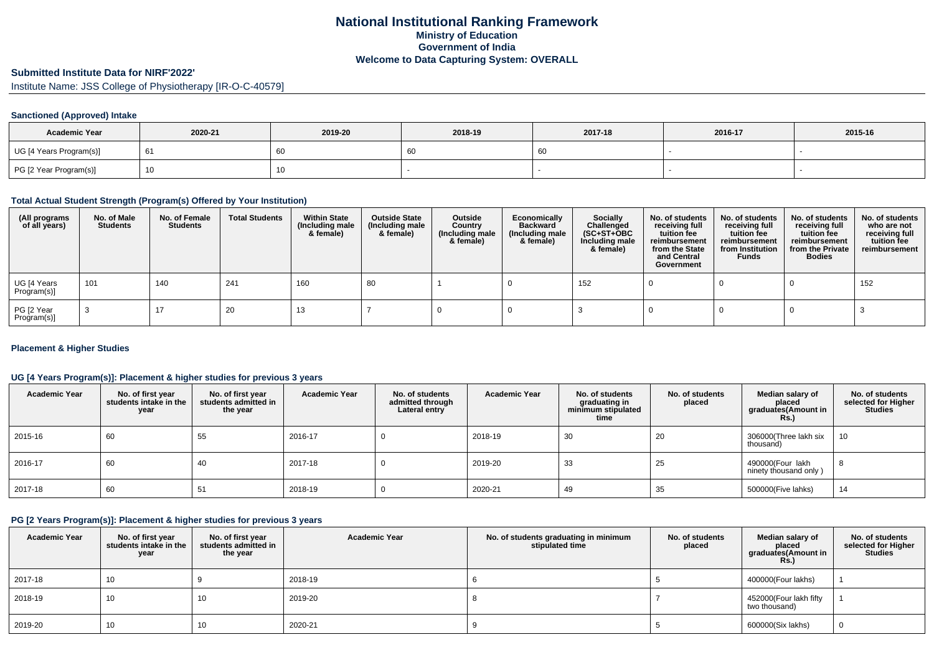# **Submitted Institute Data for NIRF'2022'**

Institute Name: JSS College of Physiotherapy [IR-O-C-40579]

### **Sanctioned (Approved) Intake**

| <b>Academic Year</b>    | 2020-21 | 2019-20 | 2018-19 | 2017-18 | 2016-17 | 2015-16 |
|-------------------------|---------|---------|---------|---------|---------|---------|
| UG [4 Years Program(s)] | - 61    | 60      | 60      |         |         |         |
| PG [2 Year Program(s)]  |         | Ίυ      |         |         |         |         |

### **Total Actual Student Strength (Program(s) Offered by Your Institution)**

| (All programs<br>of all years) | No. of Male<br><b>Students</b> | No. of Female<br><b>Students</b> | <b>Total Students</b> | <b>Within State</b><br>(Including male<br>& female) | <b>Outside State</b><br>(Including male<br>& female) | Outside<br>Country<br>(Including male<br>& female) | Economically<br><b>Backward</b><br>(Including male<br>& female) | <b>Socially</b><br>Challenged<br>$(SC+ST+OBC)$<br>Including male<br>& female) | No. of students<br>receiving full<br>tuition fee<br>reimbursement<br>from the State<br>and Central<br>Government | No. of students<br>receiving full<br>tuition fee<br>reimbursement<br>from Institution<br><b>Funds</b> | No. of students<br>receiving full<br>tuition fee<br>reimbursement<br>from the Private<br><b>Bodies</b> | No. of students<br>who are not<br>receiving full<br>tuition fee<br>reimbursement |
|--------------------------------|--------------------------------|----------------------------------|-----------------------|-----------------------------------------------------|------------------------------------------------------|----------------------------------------------------|-----------------------------------------------------------------|-------------------------------------------------------------------------------|------------------------------------------------------------------------------------------------------------------|-------------------------------------------------------------------------------------------------------|--------------------------------------------------------------------------------------------------------|----------------------------------------------------------------------------------|
| UG [4 Years<br>Program(s)]     | 101                            | 140                              | 241                   | 160                                                 | 80                                                   |                                                    |                                                                 | 152                                                                           |                                                                                                                  |                                                                                                       |                                                                                                        | 152                                                                              |
| PG [2 Year<br>Program(s)]      |                                | 17                               | 20                    | 13                                                  |                                                      |                                                    |                                                                 |                                                                               |                                                                                                                  |                                                                                                       |                                                                                                        |                                                                                  |

### **Placement & Higher Studies**

### **UG [4 Years Program(s)]: Placement & higher studies for previous 3 years**

| <b>Academic Year</b> | No. of first year<br>students intake in the<br>year | No. of first year<br>students admitted in<br>the year | <b>Academic Year</b> | No. of students<br>admitted through<br>Lateral entry | <b>Academic Year</b> | No. of students<br>graduating in<br>minimum stipulated<br>time | No. of students<br>placed | Median salary of<br>placed<br>graduates(Amount in<br><b>Rs.)</b> | No. of students<br>selected for Higher<br><b>Studies</b> |
|----------------------|-----------------------------------------------------|-------------------------------------------------------|----------------------|------------------------------------------------------|----------------------|----------------------------------------------------------------|---------------------------|------------------------------------------------------------------|----------------------------------------------------------|
| 2015-16              | 60                                                  | 55                                                    | 2016-17              |                                                      | 2018-19              | 30                                                             | 20                        | 306000(Three lakh six<br>thousand)                               | 10                                                       |
| 2016-17              | 60                                                  | 40                                                    | 2017-18              |                                                      | 2019-20              | 33                                                             | 25                        | 490000(Four lakh<br>ninety thousand only)                        | 8                                                        |
| 2017-18              | 60                                                  | 51                                                    | 2018-19              |                                                      | 2020-21              | 49                                                             | 35                        | 500000(Five lahks)                                               | 14                                                       |

## **PG [2 Years Program(s)]: Placement & higher studies for previous 3 years**

| <b>Academic Year</b> | No. of first year<br>students intake in the<br>year | No. of first year<br>students admitted in<br>the year | <b>Academic Year</b> | No. of students graduating in minimum<br>stipulated time | No. of students<br>placed | Median salary of<br>placed<br>graduates(Amount in<br>Rs. | No. of students<br>selected for Higher<br><b>Studies</b> |
|----------------------|-----------------------------------------------------|-------------------------------------------------------|----------------------|----------------------------------------------------------|---------------------------|----------------------------------------------------------|----------------------------------------------------------|
| 2017-18              | 10                                                  |                                                       | 2018-19              |                                                          |                           | 400000(Four lakhs)                                       |                                                          |
| 2018-19              | 10                                                  | 10                                                    | 2019-20              |                                                          |                           | 452000(Four lakh fifty<br>two thousand)                  |                                                          |
| 2019-20              | 10                                                  | 10                                                    | 2020-21              |                                                          |                           | 600000(Six lakhs)                                        |                                                          |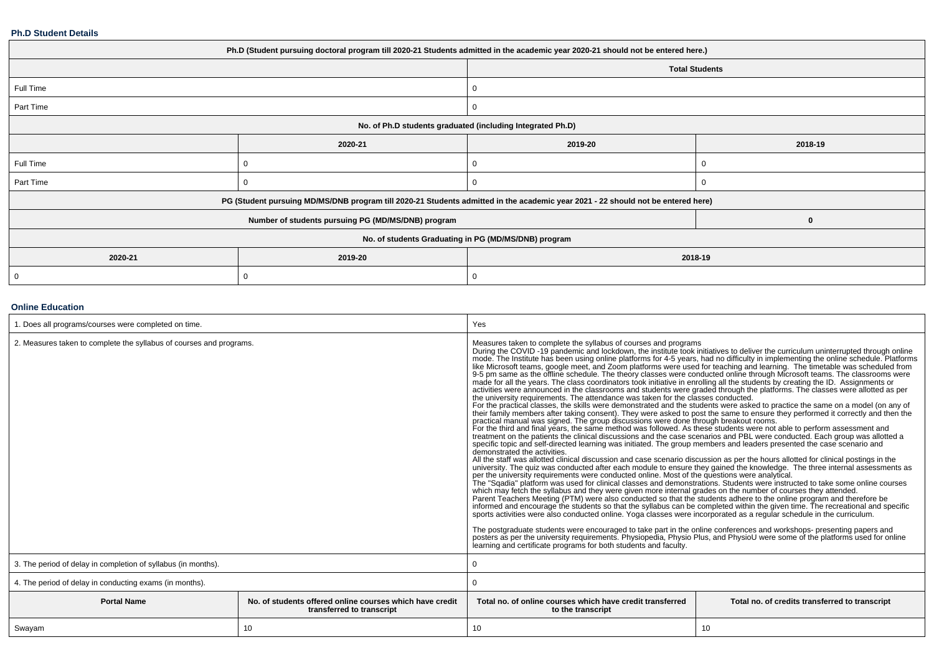#### **Ph.D Student Details**

| Ph.D (Student pursuing doctoral program till 2020-21 Students admitted in the academic year 2020-21 should not be entered here.) |                                                                                                                                  |         |                       |  |  |  |  |
|----------------------------------------------------------------------------------------------------------------------------------|----------------------------------------------------------------------------------------------------------------------------------|---------|-----------------------|--|--|--|--|
|                                                                                                                                  |                                                                                                                                  |         | <b>Total Students</b> |  |  |  |  |
| Full Time                                                                                                                        |                                                                                                                                  |         |                       |  |  |  |  |
| Part Time                                                                                                                        |                                                                                                                                  |         |                       |  |  |  |  |
|                                                                                                                                  | No. of Ph.D students graduated (including Integrated Ph.D)                                                                       |         |                       |  |  |  |  |
|                                                                                                                                  | 2020-21                                                                                                                          | 2019-20 | 2018-19               |  |  |  |  |
| Full Time                                                                                                                        |                                                                                                                                  |         |                       |  |  |  |  |
| Part Time                                                                                                                        |                                                                                                                                  |         |                       |  |  |  |  |
|                                                                                                                                  | PG (Student pursuing MD/MS/DNB program till 2020-21 Students admitted in the academic year 2021 - 22 should not be entered here) |         |                       |  |  |  |  |
|                                                                                                                                  | Number of students pursuing PG (MD/MS/DNB) program                                                                               |         | $\bf{0}$              |  |  |  |  |
| No. of students Graduating in PG (MD/MS/DNB) program                                                                             |                                                                                                                                  |         |                       |  |  |  |  |
| 2020-21                                                                                                                          | 2019-20                                                                                                                          | 2018-19 |                       |  |  |  |  |
|                                                                                                                                  |                                                                                                                                  |         |                       |  |  |  |  |

### **Online Education**

| 1. Does all programs/courses were completed on time.                |                                                                                       | Yes                                                                                                                                                                                                                                                                                                                                                                                                                                                                                                                                                                                                                                                                                                                                                                                                                                                                                                                                                                                                                                                                                                                                                                                                                                                                                                                                                                                                                                                                                                                                                                                                                                                                                                                                                                                                                                                                                                                                                                                                                                                                                                                                                                                                                                                                                                                                                                                                                                                                                                                                                                                                                                                                                                                                                                                                                                                                                                                                                                                         |                                                |  |
|---------------------------------------------------------------------|---------------------------------------------------------------------------------------|---------------------------------------------------------------------------------------------------------------------------------------------------------------------------------------------------------------------------------------------------------------------------------------------------------------------------------------------------------------------------------------------------------------------------------------------------------------------------------------------------------------------------------------------------------------------------------------------------------------------------------------------------------------------------------------------------------------------------------------------------------------------------------------------------------------------------------------------------------------------------------------------------------------------------------------------------------------------------------------------------------------------------------------------------------------------------------------------------------------------------------------------------------------------------------------------------------------------------------------------------------------------------------------------------------------------------------------------------------------------------------------------------------------------------------------------------------------------------------------------------------------------------------------------------------------------------------------------------------------------------------------------------------------------------------------------------------------------------------------------------------------------------------------------------------------------------------------------------------------------------------------------------------------------------------------------------------------------------------------------------------------------------------------------------------------------------------------------------------------------------------------------------------------------------------------------------------------------------------------------------------------------------------------------------------------------------------------------------------------------------------------------------------------------------------------------------------------------------------------------------------------------------------------------------------------------------------------------------------------------------------------------------------------------------------------------------------------------------------------------------------------------------------------------------------------------------------------------------------------------------------------------------------------------------------------------------------------------------------------------|------------------------------------------------|--|
| 2. Measures taken to complete the syllabus of courses and programs. |                                                                                       | Measures taken to complete the syllabus of courses and programs<br>During the COVID-19 pandemic and lockdown, the institute took initiatives to deliver the curriculum uninterrupted through online<br>mode. The Institute has been using online platforms for 4-5 years, had no difficulty in implementing the online schedule. Platforms like Microsoft teams, google meet, and Zoom platforms were used for teaching and learning.<br>9-5 pm same as the offline schedule. The theory classes were conducted online through Microsoft teams. The classrooms were<br>made for all the years. The class coordinators took initiative in enrolling all the students by creating the ID. Assignments or activities were announced in the classrooms and students were graded through the platforms. Th<br>the university requirements. The attendance was taken for the classes conducted.<br>For the practical classes, the skills were demonstrated and the students were asked to practice the same on a model (on any of<br>their family members after taking consent). They were asked to post the same to ensure they performed it correctly and then the<br>practical manual was signed. The group discussions were done through breakout rooms.<br>For the third and final years, the same method was followed. As these students were not able to perform assessment and<br>treatment on the patients the clinical discussions and the case scenarios and PBL were conducted. Each<br>specific topic and self-directed learning was initiated. The group members and leaders presented the case scenario and<br>demonstrated the activities.<br>All the staff was allotted clinical discussion and case scenario discussion as per the hours allotted for clinical postings in the<br>university. The quiz was conducted after each module to ensure they gained the knowledge. The three internal assessments as<br>per the university requirements were conducted online. Most of the questions were analytical.<br>The "Sgadia" platform was used for clinical classes and demonstrations. Students were instructed to take some online courses<br>which may fetch the syllabus and they were given more internal grades on the number of courses they attended.<br>Parent Teachers Meeting (PTM) were also conducted so that the students adhere to the online program and therefore be<br>informed and encourage the students so that the syllabus can be completed within the given time. The recreational and specific<br>sports activities were also conducted online. Yoga classes were incorporated as a regular schedule in the curriculum.<br>The postgraduate students were encouraged to take part in the online conferences and workshops- presenting papers and<br>posters as per the university requirements. Physiopedia, Physio Plus, and PhysioU were some of the platforms used for online<br>learning and certificate programs for both students and faculty. |                                                |  |
| 3. The period of delay in completion of syllabus (in months).       |                                                                                       |                                                                                                                                                                                                                                                                                                                                                                                                                                                                                                                                                                                                                                                                                                                                                                                                                                                                                                                                                                                                                                                                                                                                                                                                                                                                                                                                                                                                                                                                                                                                                                                                                                                                                                                                                                                                                                                                                                                                                                                                                                                                                                                                                                                                                                                                                                                                                                                                                                                                                                                                                                                                                                                                                                                                                                                                                                                                                                                                                                                             |                                                |  |
| 4. The period of delay in conducting exams (in months).             |                                                                                       |                                                                                                                                                                                                                                                                                                                                                                                                                                                                                                                                                                                                                                                                                                                                                                                                                                                                                                                                                                                                                                                                                                                                                                                                                                                                                                                                                                                                                                                                                                                                                                                                                                                                                                                                                                                                                                                                                                                                                                                                                                                                                                                                                                                                                                                                                                                                                                                                                                                                                                                                                                                                                                                                                                                                                                                                                                                                                                                                                                                             |                                                |  |
| <b>Portal Name</b>                                                  | No. of students offered online courses which have credit<br>transferred to transcript | Total no, of online courses which have credit transferred<br>to the transcript                                                                                                                                                                                                                                                                                                                                                                                                                                                                                                                                                                                                                                                                                                                                                                                                                                                                                                                                                                                                                                                                                                                                                                                                                                                                                                                                                                                                                                                                                                                                                                                                                                                                                                                                                                                                                                                                                                                                                                                                                                                                                                                                                                                                                                                                                                                                                                                                                                                                                                                                                                                                                                                                                                                                                                                                                                                                                                              | Total no. of credits transferred to transcript |  |
| Swayam                                                              | 10                                                                                    | 10                                                                                                                                                                                                                                                                                                                                                                                                                                                                                                                                                                                                                                                                                                                                                                                                                                                                                                                                                                                                                                                                                                                                                                                                                                                                                                                                                                                                                                                                                                                                                                                                                                                                                                                                                                                                                                                                                                                                                                                                                                                                                                                                                                                                                                                                                                                                                                                                                                                                                                                                                                                                                                                                                                                                                                                                                                                                                                                                                                                          | 10                                             |  |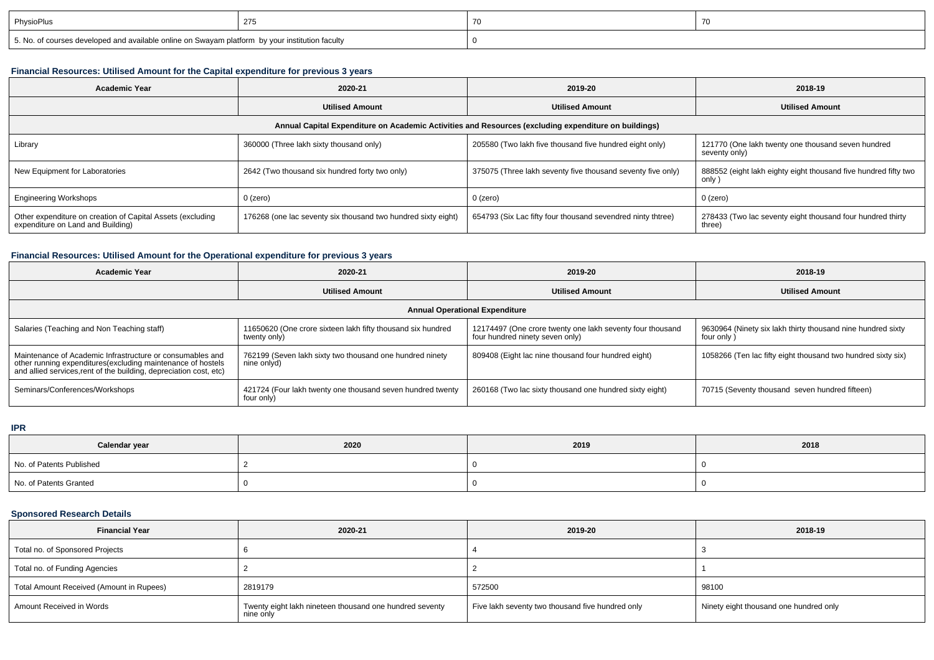| PhysioPlus                                                                                      |  | $\overline{\phantom{a}}$ |
|-------------------------------------------------------------------------------------------------|--|--------------------------|
| 5. No. of courses developed and available online on Swayam platform by your institution faculty |  |                          |

# **Financial Resources: Utilised Amount for the Capital expenditure for previous 3 years**

| <b>Academic Year</b>                                                                                 | 2020-21                                                       | 2019-20                                                     | 2018-19                                                                   |  |  |  |  |  |
|------------------------------------------------------------------------------------------------------|---------------------------------------------------------------|-------------------------------------------------------------|---------------------------------------------------------------------------|--|--|--|--|--|
|                                                                                                      | <b>Utilised Amount</b><br><b>Utilised Amount</b>              |                                                             | <b>Utilised Amount</b>                                                    |  |  |  |  |  |
| Annual Capital Expenditure on Academic Activities and Resources (excluding expenditure on buildings) |                                                               |                                                             |                                                                           |  |  |  |  |  |
| Library                                                                                              | 360000 (Three lakh sixty thousand only)                       | 205580 (Two lakh five thousand five hundred eight only)     | 121770 (One lakh twenty one thousand seven hundred<br>seventy only)       |  |  |  |  |  |
| New Equipment for Laboratories                                                                       | 2642 (Two thousand six hundred forty two only)                | 375075 (Three lakh seventy five thousand seventy five only) | 888552 (eight lakh eighty eight thousand five hundred fifty two<br>only ' |  |  |  |  |  |
| <b>Engineering Workshops</b>                                                                         | 0 (zero)                                                      | 0 (zero)                                                    | 0 (zero)                                                                  |  |  |  |  |  |
| Other expenditure on creation of Capital Assets (excluding<br>expenditure on Land and Building)      | 176268 (one lac seventy six thousand two hundred sixty eight) | 654793 (Six Lac fifty four thousand sevendred ninty thtree) | 278433 (Two lac seventy eight thousand four hundred thirty<br>three)      |  |  |  |  |  |

# **Financial Resources: Utilised Amount for the Operational expenditure for previous 3 years**

| <b>Academic Year</b>                                                                                                                                                                            | 2020-21                                                                     | 2019-20                                                                                      | 2018-19                                                                   |  |  |  |  |
|-------------------------------------------------------------------------------------------------------------------------------------------------------------------------------------------------|-----------------------------------------------------------------------------|----------------------------------------------------------------------------------------------|---------------------------------------------------------------------------|--|--|--|--|
|                                                                                                                                                                                                 | <b>Utilised Amount</b>                                                      | <b>Utilised Amount</b>                                                                       | <b>Utilised Amount</b>                                                    |  |  |  |  |
| <b>Annual Operational Expenditure</b>                                                                                                                                                           |                                                                             |                                                                                              |                                                                           |  |  |  |  |
| Salaries (Teaching and Non Teaching staff)                                                                                                                                                      | 11650620 (One crore sixteen lakh fifty thousand six hundred<br>twenty only) | 12174497 (One crore twenty one lakh seventy four thousand<br>four hundred ninety seven only) | 9630964 (Ninety six lakh thirty thousand nine hundred sixty<br>four only) |  |  |  |  |
| Maintenance of Academic Infrastructure or consumables and<br>other running expenditures (excluding maintenance of hostels<br>and allied services, rent of the building, depreciation cost, etc) | 762199 (Seven lakh sixty two thousand one hundred ninety<br>nine onlyd)     | 809408 (Eight lac nine thousand four hundred eight)                                          | 1058266 (Ten lac fifty eight thousand two hundred sixty six)              |  |  |  |  |
| Seminars/Conferences/Workshops                                                                                                                                                                  | 421724 (Four lakh twenty one thousand seven hundred twenty<br>four only)    | 260168 (Two lac sixty thousand one hundred sixty eight)                                      | 70715 (Seventy thousand seven hundred fifteen)                            |  |  |  |  |

**IPR**

| Calendar year            | 2020 | 2019 | 2018 |
|--------------------------|------|------|------|
| No. of Patents Published |      |      |      |
| No. of Patents Granted   |      |      |      |

## **Sponsored Research Details**

| <b>Financial Year</b>                    | 2020-21                                                              | 2019-20                                          | 2018-19                                |
|------------------------------------------|----------------------------------------------------------------------|--------------------------------------------------|----------------------------------------|
| Total no. of Sponsored Projects          |                                                                      |                                                  |                                        |
| Total no. of Funding Agencies            |                                                                      |                                                  |                                        |
| Total Amount Received (Amount in Rupees) | 2819179                                                              | 572500                                           | 98100                                  |
| Amount Received in Words                 | Twenty eight lakh nineteen thousand one hundred seventy<br>nine only | Five lakh seventy two thousand five hundred only | Ninety eight thousand one hundred only |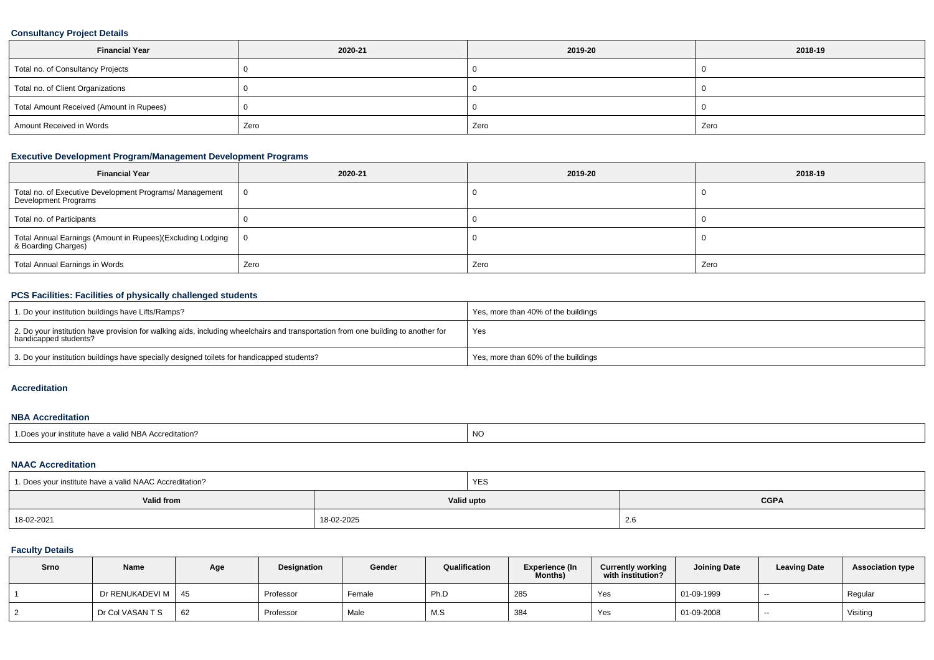# **Consultancy Project Details**

| <b>Financial Year</b>                    | 2020-21 | 2019-20 | 2018-19 |
|------------------------------------------|---------|---------|---------|
| Total no. of Consultancy Projects        |         |         |         |
| Total no. of Client Organizations        |         |         |         |
| Total Amount Received (Amount in Rupees) |         |         |         |
| Amount Received in Words                 | Zero    | Zero    | Zero    |

# **Executive Development Program/Management Development Programs**

| <b>Financial Year</b>                                                            | 2020-21 | 2019-20 | 2018-19 |
|----------------------------------------------------------------------------------|---------|---------|---------|
| Total no. of Executive Development Programs/ Management<br>Development Programs  |         |         |         |
| Total no. of Participants                                                        |         |         |         |
| Total Annual Earnings (Amount in Rupees)(Excluding Lodging   8 Boarding Charges) |         |         |         |
| Total Annual Earnings in Words                                                   | Zero    | Zero    | Zero    |

### **PCS Facilities: Facilities of physically challenged students**

| 1. Do your institution buildings have Lifts/Ramps?                                                                                                         | Yes, more than 40% of the buildings |
|------------------------------------------------------------------------------------------------------------------------------------------------------------|-------------------------------------|
| 2. Do your institution have provision for walking aids, including wheelchairs and transportation from one building to another for<br>handicapped students? | Yes                                 |
| 3. Do your institution buildings have specially designed toilets for handicapped students?                                                                 | Yes, more than 60% of the buildings |

#### **Accreditation**

### **NBA Accreditation**

| r institute have a valid NBA Accreditation?<br><sup>1</sup> Does vour <sub>h</sub> | NC |
|------------------------------------------------------------------------------------|----|
|                                                                                    |    |

### **NAAC Accreditation**

| 1. Does your institute have a valid NAAC Accreditation? |            | <b>YES</b> |             |  |  |
|---------------------------------------------------------|------------|------------|-------------|--|--|
| Valid from                                              |            | Valid upto | <b>CGPA</b> |  |  |
| 18-02-2021                                              | 18-02-2025 |            | 2.6         |  |  |

## **Faculty Details**

| Srno | Name                 | Age | Designation | Gender | Qualification | <b>Experience (In</b><br>Months) | <b>Currently working</b><br>with institution? | <b>Joining Date</b> | <b>Leaving Date</b> | <b>Association type</b> |
|------|----------------------|-----|-------------|--------|---------------|----------------------------------|-----------------------------------------------|---------------------|---------------------|-------------------------|
|      | Dr RENUKADEVI M   45 |     | Professor   | Female | Ph.D          | 285                              | Yes                                           | 01-09-1999          | $\sim$              | Regular                 |
|      | Dr Col VASAN T S     | 62  | Professor   | Male   | <b>AAC</b>    | 384                              | Yes                                           | 01-09-2008          | $- -$               | Visiting                |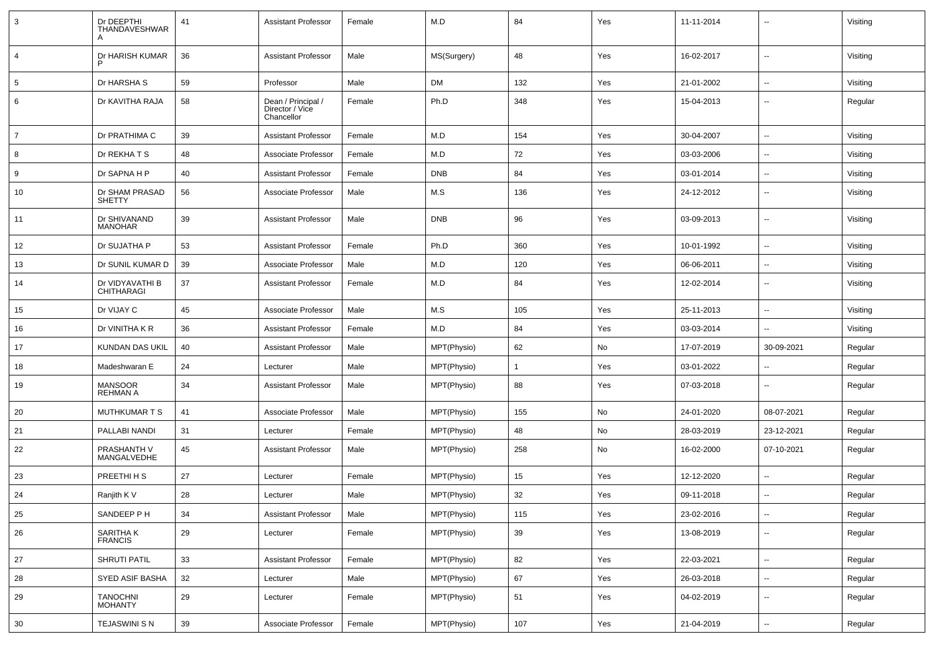| $\mathbf{3}$   | Dr DEEPTHI<br><b>THANDAVESHWAR</b> | 41 | <b>Assistant Professor</b>                          | Female | M.D         | 84             | Yes | 11-11-2014 | --                       | Visiting |
|----------------|------------------------------------|----|-----------------------------------------------------|--------|-------------|----------------|-----|------------|--------------------------|----------|
| $\overline{4}$ | Dr HARISH KUMAR                    | 36 | <b>Assistant Professor</b>                          | Male   | MS(Surgery) | 48             | Yes | 16-02-2017 | $\overline{\phantom{a}}$ | Visiting |
| 5              | Dr HARSHA S                        | 59 | Professor                                           | Male   | <b>DM</b>   | 132            | Yes | 21-01-2002 | --                       | Visiting |
| 6              | Dr KAVITHA RAJA                    | 58 | Dean / Principal /<br>Director / Vice<br>Chancellor | Female | Ph.D        | 348            | Yes | 15-04-2013 | ۰.                       | Regular  |
| $\overline{7}$ | Dr PRATHIMA C                      | 39 | <b>Assistant Professor</b>                          | Female | M.D         | 154            | Yes | 30-04-2007 | --                       | Visiting |
| 8              | Dr REKHATS                         | 48 | Associate Professor                                 | Female | M.D         | 72             | Yes | 03-03-2006 | --                       | Visiting |
| 9              | Dr SAPNA H P                       | 40 | Assistant Professor                                 | Female | <b>DNB</b>  | 84             | Yes | 03-01-2014 | $\sim$                   | Visiting |
| 10             | Dr SHAM PRASAD<br><b>SHETTY</b>    | 56 | Associate Professor                                 | Male   | M.S         | 136            | Yes | 24-12-2012 | ۰.                       | Visiting |
| 11             | Dr SHIVANAND<br><b>MANOHAR</b>     | 39 | <b>Assistant Professor</b>                          | Male   | <b>DNB</b>  | 96             | Yes | 03-09-2013 | --                       | Visiting |
| 12             | Dr SUJATHA P                       | 53 | <b>Assistant Professor</b>                          | Female | Ph.D        | 360            | Yes | 10-01-1992 | ۰.                       | Visiting |
| 13             | Dr SUNIL KUMAR D                   | 39 | Associate Professor                                 | Male   | M.D         | 120            | Yes | 06-06-2011 | ۰.                       | Visiting |
| 14             | Dr VIDYAVATHI B<br>CHITHARAGI      | 37 | <b>Assistant Professor</b>                          | Female | M.D         | 84             | Yes | 12-02-2014 | $\overline{a}$           | Visiting |
| 15             | Dr VIJAY C                         | 45 | Associate Professor                                 | Male   | M.S         | 105            | Yes | 25-11-2013 | $\overline{\phantom{a}}$ | Visiting |
| 16             | Dr VINITHA K R                     | 36 | <b>Assistant Professor</b>                          | Female | M.D         | 84             | Yes | 03-03-2014 | $\overline{\phantom{a}}$ | Visiting |
| 17             | KUNDAN DAS UKIL                    | 40 | <b>Assistant Professor</b>                          | Male   | MPT(Physio) | 62             | No  | 17-07-2019 | 30-09-2021               | Regular  |
| 18             | Madeshwaran E                      | 24 | Lecturer                                            | Male   | MPT(Physio) | $\overline{1}$ | Yes | 03-01-2022 | $\overline{\phantom{a}}$ | Regular  |
| 19             | MANSOOR<br>REHMAN A                | 34 | <b>Assistant Professor</b>                          | Male   | MPT(Physio) | 88             | Yes | 07-03-2018 | ۰.                       | Regular  |
| 20             | <b>MUTHKUMARTS</b>                 | 41 | Associate Professor                                 | Male   | MPT(Physio) | 155            | No  | 24-01-2020 | 08-07-2021               | Regular  |
| 21             | PALLABI NANDI                      | 31 | Lecturer                                            | Female | MPT(Physio) | 48             | No  | 28-03-2019 | 23-12-2021               | Regular  |
| 22             | PRASHANTH V<br>MANGALVEDHE         | 45 | <b>Assistant Professor</b>                          | Male   | MPT(Physio) | 258            | No  | 16-02-2000 | 07-10-2021               | Regular  |
| 23             | PREETHI H S                        | 27 | Lecturer                                            | Female | MPT(Physio) | 15             | Yes | 12-12-2020 | $\overline{a}$           | Regular  |
| 24             | Ranjith K V                        | 28 | Lecturer                                            | Male   | MPT(Physio) | 32             | Yes | 09-11-2018 | $\overline{\phantom{a}}$ | Regular  |
| 25             | SANDEEP P H                        | 34 | <b>Assistant Professor</b>                          | Male   | MPT(Physio) | 115            | Yes | 23-02-2016 | $\overline{\phantom{a}}$ | Regular  |
| 26             | SARITHA K<br>FRANCIS               | 29 | Lecturer                                            | Female | MPT(Physio) | 39             | Yes | 13-08-2019 | Ξ.                       | Regular  |
| 27             | SHRUTI PATIL                       | 33 | <b>Assistant Professor</b>                          | Female | MPT(Physio) | 82             | Yes | 22-03-2021 | Ξ.                       | Regular  |
| 28             | <b>SYED ASIF BASHA</b>             | 32 | Lecturer                                            | Male   | MPT(Physio) | 67             | Yes | 26-03-2018 | ۰.                       | Regular  |
| 29             | TANOCHNI<br>MOHANTY                | 29 | Lecturer                                            | Female | MPT(Physio) | 51             | Yes | 04-02-2019 | Ξ.                       | Regular  |
| 30             | TEJASWINI S N                      | 39 | Associate Professor                                 | Female | MPT(Physio) | 107            | Yes | 21-04-2019 | ۰.                       | Regular  |